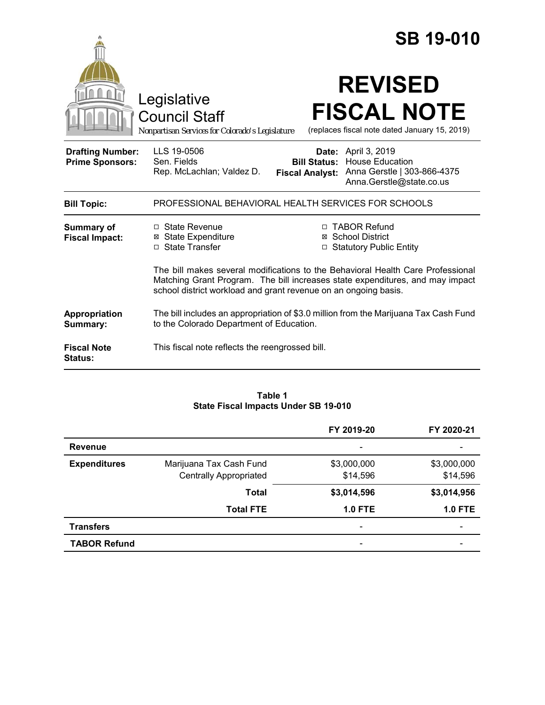|                                                   |                                                                                                                                                                                                                                     |                                               | <b>SB 19-010</b>                                                                                                |
|---------------------------------------------------|-------------------------------------------------------------------------------------------------------------------------------------------------------------------------------------------------------------------------------------|-----------------------------------------------|-----------------------------------------------------------------------------------------------------------------|
|                                                   | Legislative<br><b>Council Staff</b><br>Nonpartisan Services for Colorado's Legislature                                                                                                                                              |                                               | <b>REVISED</b><br><b>FISCAL NOTE</b><br>(replaces fiscal note dated January 15, 2019)                           |
| <b>Drafting Number:</b><br><b>Prime Sponsors:</b> | LLS 19-0506<br>Sen. Fields<br>Rep. McLachlan; Valdez D.                                                                                                                                                                             | <b>Bill Status:</b><br><b>Fiscal Analyst:</b> | <b>Date:</b> April 3, 2019<br><b>House Education</b><br>Anna Gerstle   303-866-4375<br>Anna.Gerstle@state.co.us |
| <b>Bill Topic:</b>                                | PROFESSIONAL BEHAVIORAL HEALTH SERVICES FOR SCHOOLS                                                                                                                                                                                 |                                               |                                                                                                                 |
| <b>Summary of</b><br><b>Fiscal Impact:</b>        | □ State Revenue<br><b>State Expenditure</b><br>⊠<br>□ State Transfer                                                                                                                                                                |                                               | □ TABOR Refund<br>⊠ School District<br><b>Statutory Public Entity</b>                                           |
|                                                   | The bill makes several modifications to the Behavioral Health Care Professional<br>Matching Grant Program. The bill increases state expenditures, and may impact<br>school district workload and grant revenue on an ongoing basis. |                                               |                                                                                                                 |
| Appropriation<br>Summary:                         | The bill includes an appropriation of \$3.0 million from the Marijuana Tax Cash Fund<br>to the Colorado Department of Education.                                                                                                    |                                               |                                                                                                                 |
| <b>Fiscal Note</b><br>Status:                     | This fiscal note reflects the reengrossed bill.                                                                                                                                                                                     |                                               |                                                                                                                 |

#### **Table 1 State Fiscal Impacts Under SB 19-010**

|                     |                               | FY 2019-20               | FY 2020-21                   |
|---------------------|-------------------------------|--------------------------|------------------------------|
| <b>Revenue</b>      |                               | $\overline{\phantom{0}}$ |                              |
| <b>Expenditures</b> | Marijuana Tax Cash Fund       | \$3,000,000              | \$3,000,000                  |
|                     | <b>Centrally Appropriated</b> | \$14,596                 | \$14,596                     |
|                     | <b>Total</b>                  | \$3,014,596              | \$3,014,956                  |
|                     | <b>Total FTE</b>              | <b>1.0 FTE</b>           | $1.0$ FTE                    |
| <b>Transfers</b>    |                               | $\overline{\phantom{0}}$ | $\qquad \qquad \blacksquare$ |
| <b>TABOR Refund</b> |                               | -                        |                              |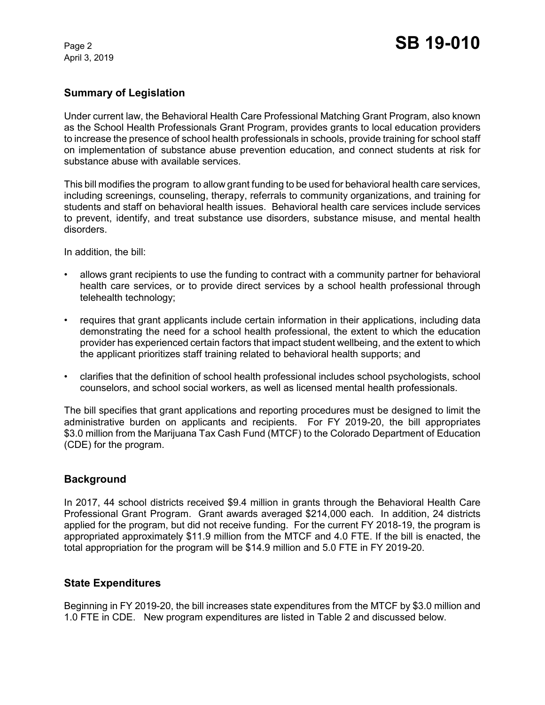April 3, 2019

### **Summary of Legislation**

Under current law, the Behavioral Health Care Professional Matching Grant Program, also known as the School Health Professionals Grant Program, provides grants to local education providers to increase the presence of school health professionals in schools, provide training for school staff on implementation of substance abuse prevention education, and connect students at risk for substance abuse with available services.

This bill modifies the program to allow grant funding to be used for behavioral health care services, including screenings, counseling, therapy, referrals to community organizations, and training for students and staff on behavioral health issues. Behavioral health care services include services to prevent, identify, and treat substance use disorders, substance misuse, and mental health disorders.

In addition, the bill:

- allows grant recipients to use the funding to contract with a community partner for behavioral health care services, or to provide direct services by a school health professional through telehealth technology;
- requires that grant applicants include certain information in their applications, including data demonstrating the need for a school health professional, the extent to which the education provider has experienced certain factors that impact student wellbeing, and the extent to which the applicant prioritizes staff training related to behavioral health supports; and
- clarifies that the definition of school health professional includes school psychologists, school counselors, and school social workers, as well as licensed mental health professionals.

The bill specifies that grant applications and reporting procedures must be designed to limit the administrative burden on applicants and recipients. For FY 2019-20, the bill appropriates \$3.0 million from the Marijuana Tax Cash Fund (MTCF) to the Colorado Department of Education (CDE) for the program.

### **Background**

In 2017, 44 school districts received \$9.4 million in grants through the Behavioral Health Care Professional Grant Program. Grant awards averaged \$214,000 each. In addition, 24 districts applied for the program, but did not receive funding. For the current FY 2018-19, the program is appropriated approximately \$11.9 million from the MTCF and 4.0 FTE. If the bill is enacted, the total appropriation for the program will be \$14.9 million and 5.0 FTE in FY 2019-20.

### **State Expenditures**

Beginning in FY 2019-20, the bill increases state expenditures from the MTCF by \$3.0 million and 1.0 FTE in CDE. New program expenditures are listed in Table 2 and discussed below.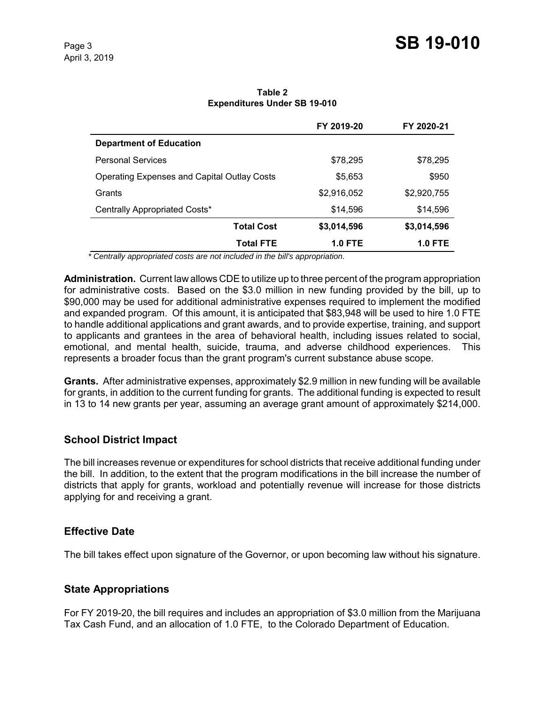|                                                    | FY 2019-20     | FY 2020-21     |
|----------------------------------------------------|----------------|----------------|
| <b>Department of Education</b>                     |                |                |
| <b>Personal Services</b>                           | \$78,295       | \$78,295       |
| <b>Operating Expenses and Capital Outlay Costs</b> | \$5,653        | \$950          |
| Grants                                             | \$2,916,052    | \$2,920,755    |
| Centrally Appropriated Costs*                      | \$14,596       | \$14,596       |
| <b>Total Cost</b>                                  | \$3,014,596    | \$3,014,596    |
| Total FTE                                          | <b>1.0 FTE</b> | <b>1.0 FTE</b> |

**Table 2 Expenditures Under SB 19-010**

 *\* Centrally appropriated costs are not included in the bill's appropriation.*

**Administration.** Current law allows CDE to utilize up to three percent of the program appropriation for administrative costs. Based on the \$3.0 million in new funding provided by the bill, up to \$90,000 may be used for additional administrative expenses required to implement the modified and expanded program. Of this amount, it is anticipated that \$83,948 will be used to hire 1.0 FTE to handle additional applications and grant awards, and to provide expertise, training, and support to applicants and grantees in the area of behavioral health, including issues related to social, emotional, and mental health, suicide, trauma, and adverse childhood experiences. This represents a broader focus than the grant program's current substance abuse scope.

**Grants.** After administrative expenses, approximately \$2.9 million in new funding will be available for grants, in addition to the current funding for grants. The additional funding is expected to result in 13 to 14 new grants per year, assuming an average grant amount of approximately \$214,000.

# **School District Impact**

The bill increases revenue or expenditures for school districts that receive additional funding under the bill. In addition, to the extent that the program modifications in the bill increase the number of districts that apply for grants, workload and potentially revenue will increase for those districts applying for and receiving a grant.

### **Effective Date**

The bill takes effect upon signature of the Governor, or upon becoming law without his signature.

### **State Appropriations**

For FY 2019-20, the bill requires and includes an appropriation of \$3.0 million from the Marijuana Tax Cash Fund, and an allocation of 1.0 FTE, to the Colorado Department of Education.